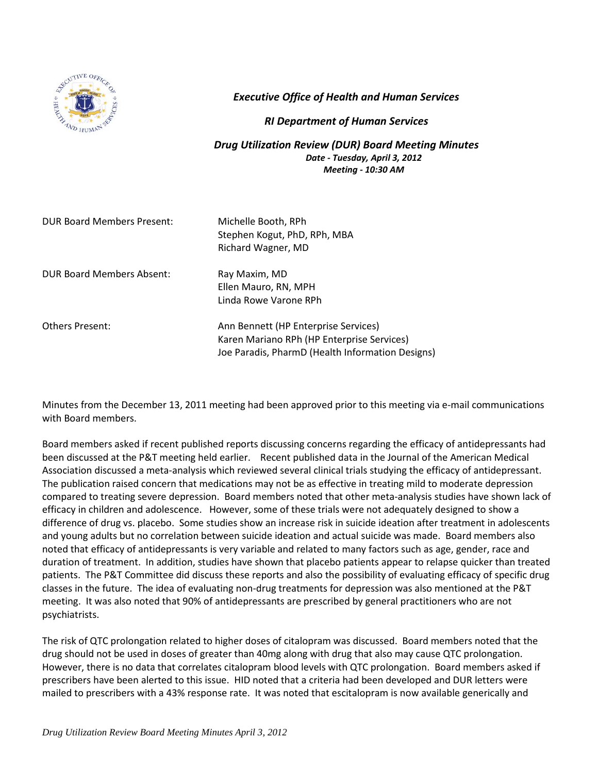

*Executive Office of Health and Human Services*

## *RI Department of Human Services*

*Drug Utilization Review (DUR) Board Meeting Minutes Date - Tuesday, April 3, 2012 Meeting - 10:30 AM*

| <b>DUR Board Members Present:</b> | Michelle Booth, RPh<br>Stephen Kogut, PhD, RPh, MBA<br>Richard Wagner, MD          |
|-----------------------------------|------------------------------------------------------------------------------------|
| DUR Board Members Absent:         | Ray Maxim, MD<br>Ellen Mauro, RN, MPH<br>Linda Rowe Varone RPh                     |
| <b>Others Present:</b>            | Ann Bennett (HP Enterprise Services)<br>Karen Mariano RPh (HP Enterprise Services) |

Minutes from the December 13, 2011 meeting had been approved prior to this meeting via e-mail communications with Board members.

Joe Paradis, PharmD (Health Information Designs)

Board members asked if recent published reports discussing concerns regarding the efficacy of antidepressants had been discussed at the P&T meeting held earlier. Recent published data in the Journal of the American Medical Association discussed a meta-analysis which reviewed several clinical trials studying the efficacy of antidepressant. The publication raised concern that medications may not be as effective in treating mild to moderate depression compared to treating severe depression. Board members noted that other meta-analysis studies have shown lack of efficacy in children and adolescence. However, some of these trials were not adequately designed to show a difference of drug vs. placebo. Some studies show an increase risk in suicide ideation after treatment in adolescents and young adults but no correlation between suicide ideation and actual suicide was made. Board members also noted that efficacy of antidepressants is very variable and related to many factors such as age, gender, race and duration of treatment. In addition, studies have shown that placebo patients appear to relapse quicker than treated patients. The P&T Committee did discuss these reports and also the possibility of evaluating efficacy of specific drug classes in the future. The idea of evaluating non-drug treatments for depression was also mentioned at the P&T meeting. It was also noted that 90% of antidepressants are prescribed by general practitioners who are not psychiatrists.

The risk of QTC prolongation related to higher doses of citalopram was discussed. Board members noted that the drug should not be used in doses of greater than 40mg along with drug that also may cause QTC prolongation. However, there is no data that correlates citalopram blood levels with QTC prolongation. Board members asked if prescribers have been alerted to this issue. HID noted that a criteria had been developed and DUR letters were mailed to prescribers with a 43% response rate. It was noted that escitalopram is now available generically and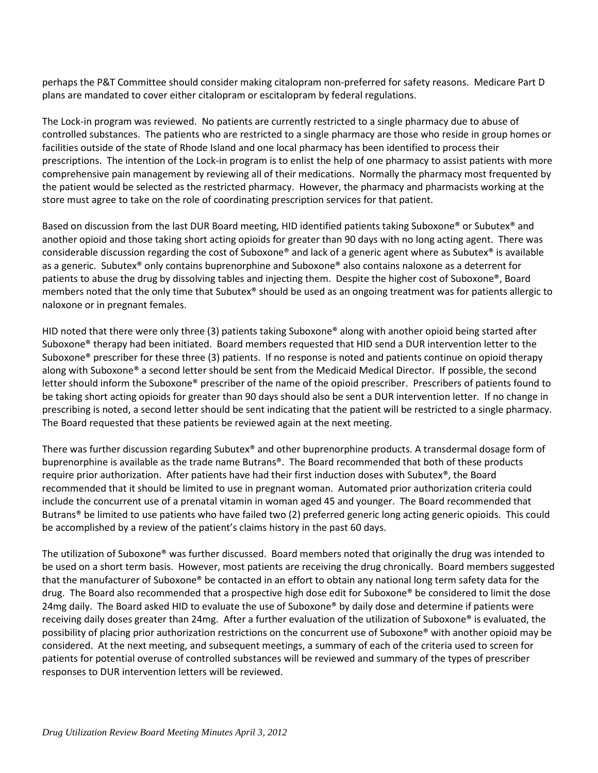perhaps the P&T Committee should consider making citalopram non-preferred for safety reasons. Medicare Part D plans are mandated to cover either citalopram or escitalopram by federal regulations.

The Lock-in program was reviewed. No patients are currently restricted to a single pharmacy due to abuse of controlled substances. The patients who are restricted to a single pharmacy are those who reside in group homes or facilities outside of the state of Rhode Island and one local pharmacy has been identified to process their prescriptions. The intention of the Lock-in program is to enlist the help of one pharmacy to assist patients with more comprehensive pain management by reviewing all of their medications. Normally the pharmacy most frequented by the patient would be selected as the restricted pharmacy. However, the pharmacy and pharmacists working at the store must agree to take on the role of coordinating prescription services for that patient.

Based on discussion from the last DUR Board meeting, HID identified patients taking Suboxone® or Subutex® and another opioid and those taking short acting opioids for greater than 90 days with no long acting agent. There was considerable discussion regarding the cost of Suboxone® and lack of a generic agent where as Subutex® is available as a generic. Subutex® only contains buprenorphine and Suboxone® also contains naloxone as a deterrent for patients to abuse the drug by dissolving tables and injecting them. Despite the higher cost of Suboxone®, Board members noted that the only time that Subutex® should be used as an ongoing treatment was for patients allergic to naloxone or in pregnant females.

HID noted that there were only three (3) patients taking Suboxone<sup>®</sup> along with another opioid being started after Suboxone® therapy had been initiated. Board members requested that HID send a DUR intervention letter to the Suboxone® prescriber for these three (3) patients. If no response is noted and patients continue on opioid therapy along with Suboxone® a second letter should be sent from the Medicaid Medical Director. If possible, the second letter should inform the Suboxone® prescriber of the name of the opioid prescriber. Prescribers of patients found to be taking short acting opioids for greater than 90 days should also be sent a DUR intervention letter. If no change in prescribing is noted, a second letter should be sent indicating that the patient will be restricted to a single pharmacy. The Board requested that these patients be reviewed again at the next meeting.

There was further discussion regarding Subutex® and other buprenorphine products. A transdermal dosage form of buprenorphine is available as the trade name Butrans®. The Board recommended that both of these products require prior authorization. After patients have had their first induction doses with Subutex®, the Board recommended that it should be limited to use in pregnant woman. Automated prior authorization criteria could include the concurrent use of a prenatal vitamin in woman aged 45 and younger. The Board recommended that Butrans® be limited to use patients who have failed two (2) preferred generic long acting generic opioids. This could be accomplished by a review of the patient's claims history in the past 60 days.

The utilization of Suboxone® was further discussed. Board members noted that originally the drug was intended to be used on a short term basis. However, most patients are receiving the drug chronically. Board members suggested that the manufacturer of Suboxone® be contacted in an effort to obtain any national long term safety data for the drug. The Board also recommended that a prospective high dose edit for Suboxone® be considered to limit the dose 24mg daily. The Board asked HID to evaluate the use of Suboxone® by daily dose and determine if patients were receiving daily doses greater than 24mg. After a further evaluation of the utilization of Suboxone® is evaluated, the possibility of placing prior authorization restrictions on the concurrent use of Suboxone® with another opioid may be considered. At the next meeting, and subsequent meetings, a summary of each of the criteria used to screen for patients for potential overuse of controlled substances will be reviewed and summary of the types of prescriber responses to DUR intervention letters will be reviewed.